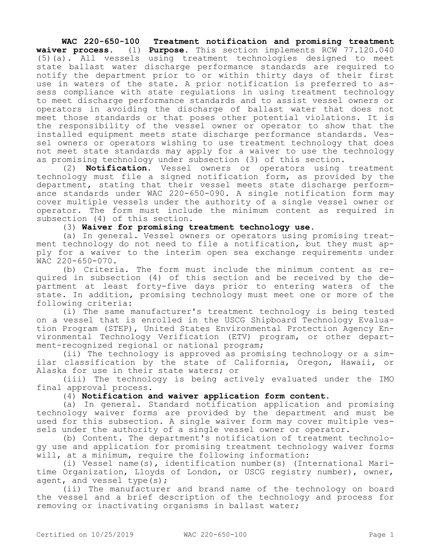## **WAC 220-650-100 Treatment notification and promising treatment waiver process.** (1) **Purpose.** This section implements RCW 77.120.040 (5)(a). All vessels using treatment technologies designed to meet state ballast water discharge performance standards are required to notify the department prior to or within thirty days of their first use in waters of the state. A prior notification is preferred to assess compliance with state regulations in using treatment technology to meet discharge performance standards and to assist vessel owners or operators in avoiding the discharge of ballast water that does not meet those standards or that poses other potential violations. It is the responsibility of the vessel owner or operator to show that the installed equipment meets state discharge performance standards. Vessel owners or operators wishing to use treatment technology that does not meet state standards may apply for a waiver to use the technology as promising technology under subsection (3) of this section.

(2) **Notification.** Vessel owners or operators using treatment technology must file a signed notification form, as provided by the department, stating that their vessel meets state discharge performance standards under WAC 220-650-090. A single notification form may cover multiple vessels under the authority of a single vessel owner or operator. The form must include the minimum content as required in subsection (4) of this section.

(3) **Waiver for promising treatment technology use.**

(a) In general. Vessel owners or operators using promising treatment technology do not need to file a notification, but they must apply for a waiver to the interim open sea exchange requirements under WAC 220-650-070.

(b) Criteria. The form must include the minimum content as required in subsection (4) of this section and be received by the department at least forty-five days prior to entering waters of the state. In addition, promising technology must meet one or more of the following criteria:

(i) The same manufacturer's treatment technology is being tested on a vessel that is enrolled in the USCG Shipboard Technology Evaluation Program (STEP), United States Environmental Protection Agency Environmental Technology Verification (ETV) program, or other department-recognized regional or national program;

(ii) The technology is approved as promising technology or a similar classification by the state of California, Oregon, Hawaii, or Alaska for use in their state waters; or

(iii) The technology is being actively evaluated under the IMO final approval process.

(4) **Notification and waiver application form content.**

(a) In general. Standard notification application and promising technology waiver forms are provided by the department and must be used for this subsection. A single waiver form may cover multiple vessels under the authority of a single vessel owner or operator.

(b) Content. The department's notification of treatment technology use and application for promising treatment technology waiver forms will, at a minimum, require the following information:

(i) Vessel name(s), identification number(s) (International Maritime Organization, Lloyds of London, or USCG registry number), owner, agent, and vessel type(s);

(ii) The manufacturer and brand name of the technology on board the vessel and a brief description of the technology and process for removing or inactivating organisms in ballast water;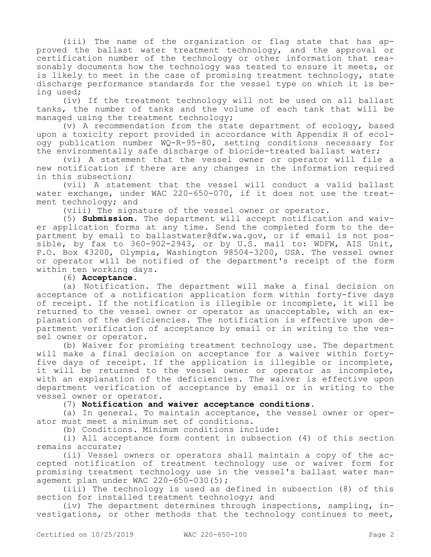(iii) The name of the organization or flag state that has approved the ballast water treatment technology, and the approval or certification number of the technology or other information that reasonably documents how the technology was tested to ensure it meets, or is likely to meet in the case of promising treatment technology, state discharge performance standards for the vessel type on which it is being used;

(iv) If the treatment technology will not be used on all ballast tanks, the number of tanks and the volume of each tank that will be managed using the treatment technology;

(v) A recommendation from the state department of ecology, based upon a toxicity report provided in accordance with Appendix H of ecology publication number WQ-R-95-80, setting conditions necessary for the environmentally safe discharge of biocide-treated ballast water;

(vi) A statement that the vessel owner or operator will file a new notification if there are any changes in the information required in this subsection;

(vii) A statement that the vessel will conduct a valid ballast water exchange, under WAC 220-650-070, if it does not use the treatment technology; and

(viii) The signature of the vessel owner or operator.

(5) **Submission.** The department will accept notification and waiver application forms at any time. Send the completed form to the department by email to ballastwater@dfw.wa.gov, or if email is not possible, by fax to 360-902-2943, or by U.S. mail to: WDFW, AIS Unit, P.O. Box 43200, Olympia, Washington 98504-3200, USA. The vessel owner or operator will be notified of the department's receipt of the form within ten working days.

(6) **Acceptance.**

(a) Notification. The department will make a final decision on acceptance of a notification application form within forty-five days of receipt. If the notification is illegible or incomplete, it will be returned to the vessel owner or operator as unacceptable, with an explanation of the deficiencies. The notification is effective upon department verification of acceptance by email or in writing to the vessel owner or operator.

(b) Waiver for promising treatment technology use. The department will make a final decision on acceptance for a waiver within fortyfive days of receipt. If the application is illegible or incomplete, it will be returned to the vessel owner or operator as incomplete, with an explanation of the deficiencies. The waiver is effective upon department verification of acceptance by email or in writing to the vessel owner or operator.

(7) **Notification and waiver acceptance conditions.**

(a) In general. To maintain acceptance, the vessel owner or operator must meet a minimum set of conditions.

(b) Conditions. Minimum conditions include:

(i) All acceptance form content in subsection (4) of this section remains accurate;

(ii) Vessel owners or operators shall maintain a copy of the accepted notification of treatment technology use or waiver form for promising treatment technology use in the vessel's ballast water management plan under WAC 220-650-030(5);

(iii) The technology is used as defined in subsection (8) of this section for installed treatment technology; and

(iv) The department determines through inspections, sampling, investigations, or other methods that the technology continues to meet,